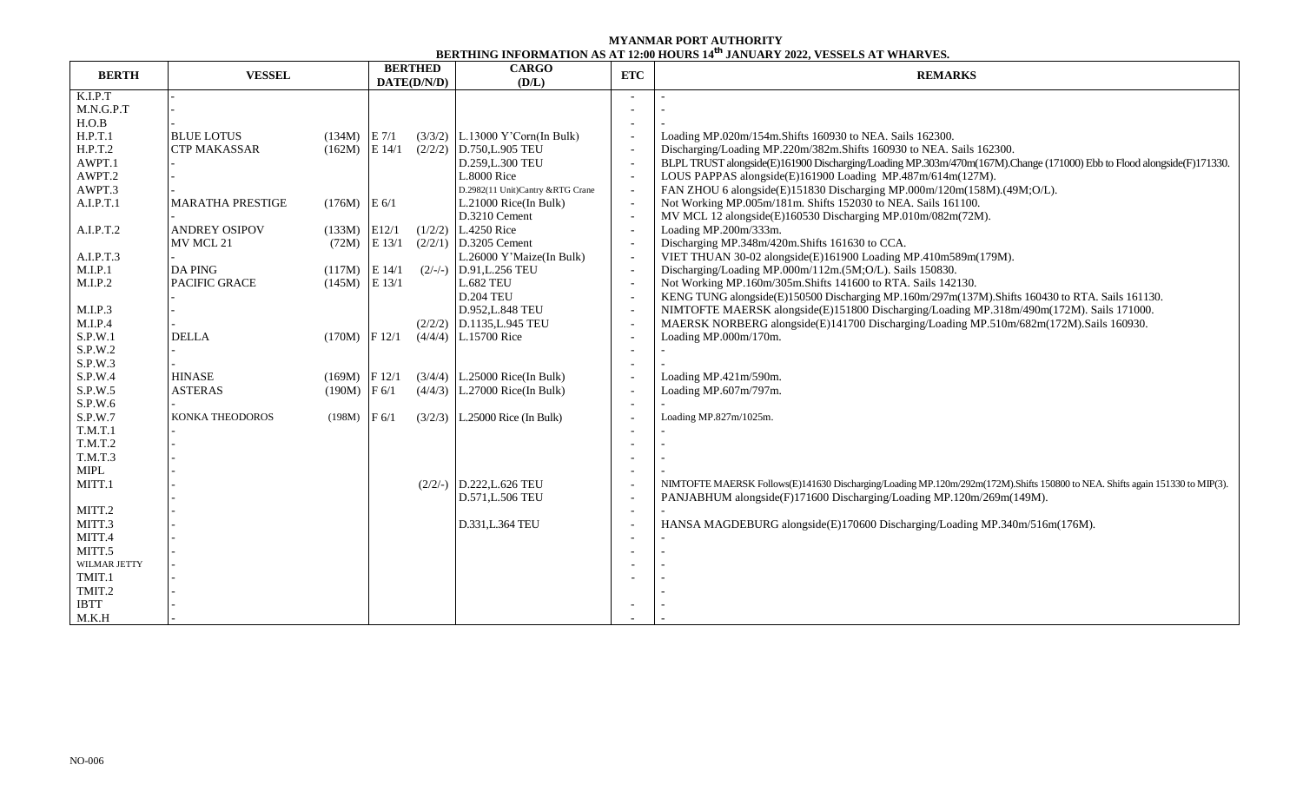## **MYANMAR PORT AUTHORITY BERTHING INFORMATION AS AT 12:00 HOURS 14 th JANUARY 2022, VESSELS AT WHARVES.**

| <b>BERTH</b>     | <b>VESSEL</b>           |                 | <b>BERTHED</b><br>DATE(D/N/D) |           | <b>CARGO</b><br>(D/L)             | <b>ETC</b>               | <b>REMARKS</b>                                                                                                               |  |  |  |
|------------------|-------------------------|-----------------|-------------------------------|-----------|-----------------------------------|--------------------------|------------------------------------------------------------------------------------------------------------------------------|--|--|--|
| K.I.P.T          |                         |                 |                               |           |                                   |                          |                                                                                                                              |  |  |  |
| M.N.G.P.T        |                         |                 |                               |           |                                   |                          |                                                                                                                              |  |  |  |
| H.O.B            |                         |                 |                               |           |                                   |                          |                                                                                                                              |  |  |  |
| H.P.T.1          | <b>BLUE LOTUS</b>       | $(134M)$ E 7/1  |                               |           | $(3/3/2)$ L.13000 Y'Corn(In Bulk) |                          | Loading MP.020m/154m.Shifts 160930 to NEA. Sails 162300.                                                                     |  |  |  |
| H.P.T.2          | <b>CTP MAKASSAR</b>     | $(162M)$ E 14/1 |                               | (2/2/2)   | D.750,L.905 TEU                   |                          | Discharging/Loading MP.220m/382m.Shifts 160930 to NEA. Sails 162300.                                                         |  |  |  |
| AWPT.1           |                         |                 |                               |           | D.259, L.300 TEU                  |                          | BLPL TRUST alongside(E)161900 Discharging/Loading MP.303m/470m(167M).Change (171000) Ebb to Flood alongside(F)171330.        |  |  |  |
| AWPT.2           |                         |                 |                               |           | <b>L.8000 Rice</b>                |                          | LOUS PAPPAS alongside(E)161900 Loading MP.487m/614m(127M).                                                                   |  |  |  |
| AWPT.3           |                         |                 |                               |           | D.2982(11 Unit)Cantry &RTG Crane  |                          | FAN ZHOU 6 alongside(E)151830 Discharging MP.000m/120m(158M).(49M;O/L).                                                      |  |  |  |
| A.I.P.T.1        | <b>MARATHA PRESTIGE</b> | $(176M)$ E 6/1  |                               |           | $L.21000$ Rice(In Bulk)           |                          | Not Working MP.005m/181m. Shifts 152030 to NEA. Sails 161100.                                                                |  |  |  |
|                  |                         |                 |                               |           | D.3210 Cement                     |                          | MV MCL 12 alongside(E)160530 Discharging MP.010m/082m(72M).                                                                  |  |  |  |
| A.I.P.T.2        | <b>ANDREY OSIPOV</b>    | (133M)          | E12/1                         |           | $(1/2/2)$ L.4250 Rice             |                          | Loading MP.200m/333m.                                                                                                        |  |  |  |
|                  | MV MCL 21               | (72M)           | E 13/1                        |           | $(2/2/1)$ D.3205 Cement           | $\sim$                   | Discharging MP.348m/420m.Shifts 161630 to CCA.                                                                               |  |  |  |
| A.I.P.T.3        |                         |                 |                               |           | L.26000 Y'Maize(In Bulk)          |                          | VIET THUAN 30-02 alongside(E)161900 Loading MP.410m589m(179M).                                                               |  |  |  |
| M.I.P.1          | <b>DA PING</b>          | (117M)          | E 14/1                        | $(2/-/-)$ | D.91, L.256 TEU                   |                          | Discharging/Loading MP.000m/112m.(5M;O/L). Sails 150830.                                                                     |  |  |  |
| M.I.P.2          | <b>PACIFIC GRACE</b>    | (145M)          | E 13/1                        |           | <b>L.682 TEU</b>                  |                          | Not Working MP.160m/305m.Shifts 141600 to RTA. Sails 142130.                                                                 |  |  |  |
|                  |                         |                 |                               |           | <b>D.204 TEU</b>                  |                          | KENG TUNG alongside(E)150500 Discharging MP.160m/297m(137M). Shifts 160430 to RTA. Sails 161130.                             |  |  |  |
| M.I.P.3          |                         |                 |                               |           | D.952, L.848 TEU                  |                          | NIMTOFTE MAERSK alongside(E)151800 Discharging/Loading MP.318m/490m(172M). Sails 171000.                                     |  |  |  |
| M.I.P.4          |                         |                 |                               |           | $(2/2/2)$ D.1135, L.945 TEU       |                          | MAERSK NORBERG alongside(E)141700 Discharging/Loading MP.510m/682m(172M).Sails 160930.                                       |  |  |  |
| S.P.W.1          | $\rm DELLA$             | (170M)          | F 12/1                        |           | $(4/4/4)$ L.15700 Rice            |                          | Loading MP.000m/170m.                                                                                                        |  |  |  |
| S.P.W.2          |                         |                 |                               |           |                                   |                          |                                                                                                                              |  |  |  |
| S.P.W.3          |                         |                 |                               |           |                                   | $\overline{\phantom{a}}$ |                                                                                                                              |  |  |  |
| S.P.W.4          | <b>HINASE</b>           | $(169M)$ F 12/1 |                               |           | $(3/4/4)$ L.25000 Rice(In Bulk)   |                          | Loading MP.421m/590m.                                                                                                        |  |  |  |
| S.P.W.5          | <b>ASTERAS</b>          | (190M)          | F 6/1                         |           | $(4/4/3)$ L.27000 Rice(In Bulk)   |                          | Loading MP.607m/797m.                                                                                                        |  |  |  |
| S.P.W.6          |                         |                 |                               |           |                                   |                          |                                                                                                                              |  |  |  |
| S.P.W.7          | KONKA THEODOROS         | (198M)          | F 6/1                         |           | $(3/2/3)$ L.25000 Rice (In Bulk)  |                          | Loading MP.827m/1025m.                                                                                                       |  |  |  |
| T.M.T.1          |                         |                 |                               |           |                                   |                          |                                                                                                                              |  |  |  |
| T.M.T.2          |                         |                 |                               |           |                                   |                          |                                                                                                                              |  |  |  |
| T.M.T.3          |                         |                 |                               |           |                                   |                          |                                                                                                                              |  |  |  |
| <b>MIPL</b>      |                         |                 |                               |           |                                   |                          |                                                                                                                              |  |  |  |
| MITT.1           |                         |                 |                               |           | $(2/2/-)$ D.222, L.626 TEU        |                          | NIMTOFTE MAERSK Follows(E)141630 Discharging/Loading MP.120m/292m(172M).Shifts 150800 to NEA. Shifts again 151330 to MIP(3). |  |  |  |
|                  |                         |                 |                               |           | D.571, L.506 TEU                  |                          | PANJABHUM alongside(F)171600 Discharging/Loading MP.120m/269m(149M).                                                         |  |  |  |
| MITT.2           |                         |                 |                               |           |                                   |                          |                                                                                                                              |  |  |  |
| MITT.3           |                         |                 |                               |           | D.331, L.364 TEU                  |                          | HANSA MAGDEBURG alongside(E)170600 Discharging/Loading MP.340m/516m(176M).                                                   |  |  |  |
| MITT.4<br>MITT.5 |                         |                 |                               |           |                                   | $\overline{\phantom{0}}$ |                                                                                                                              |  |  |  |
|                  |                         |                 |                               |           |                                   |                          |                                                                                                                              |  |  |  |
| WILMAR JETTY     |                         |                 |                               |           |                                   |                          |                                                                                                                              |  |  |  |
| TMIT.1           |                         |                 |                               |           |                                   |                          |                                                                                                                              |  |  |  |
| TMIT.2           |                         |                 |                               |           |                                   |                          |                                                                                                                              |  |  |  |
| <b>IBTT</b>      |                         |                 |                               |           |                                   |                          |                                                                                                                              |  |  |  |
| M.K.H            |                         |                 |                               |           |                                   |                          |                                                                                                                              |  |  |  |